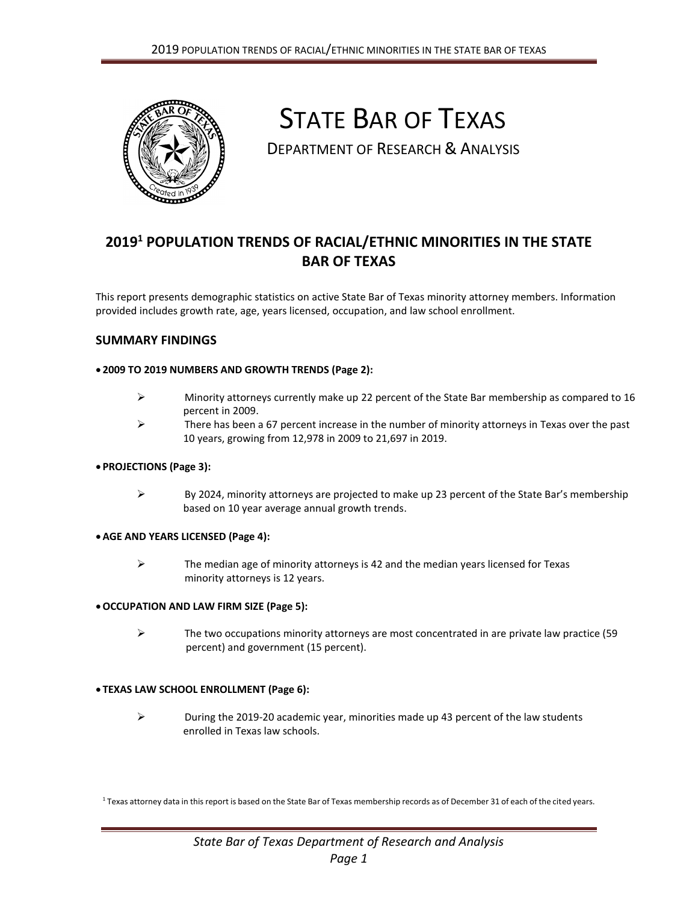

# STATE BAR OF TEXAS

DEPARTMENT OF RESEARCH & ANALYSIS

# **2019<sup>1</sup> POPULATION TRENDS OF RACIAL/ETHNIC MINORITIES IN THE STATE BAR OF TEXAS**

This report presents demographic statistics on active State Bar of Texas minority attorney members. Information provided includes growth rate, age, years licensed, occupation, and law school enrollment.

## **SUMMARY FINDINGS**

#### **2009 TO 2019 NUMBERS AND GROWTH TRENDS (Page 2):**

- $\triangleright$  Minority attorneys currently make up 22 percent of the State Bar membership as compared to 16 percent in 2009.
- $\triangleright$  There has been a 67 percent increase in the number of minority attorneys in Texas over the past 10 years, growing from 12,978 in 2009 to 21,697 in 2019.

#### **PROJECTIONS (Page 3):**

 $\triangleright$  By 2024, minority attorneys are projected to make up 23 percent of the State Bar's membership based on 10 year average annual growth trends.

#### **AGE AND YEARS LICENSED (Page 4):**

 $\triangleright$  The median age of minority attorneys is 42 and the median years licensed for Texas minority attorneys is 12 years.

#### **OCCUPATION AND LAW FIRM SIZE (Page 5):**

 $\triangleright$  The two occupations minority attorneys are most concentrated in are private law practice (59 percent) and government (15 percent).

# **TEXAS LAW SCHOOL ENROLLMENT (Page 6):**

 $\triangleright$  During the 2019-20 academic year, minorities made up 43 percent of the law students enrolled in Texas law schools.

 $^{\rm 1}$  Texas attorney data in this report is based on the State Bar of Texas membership records as of December 31 of each of the cited years.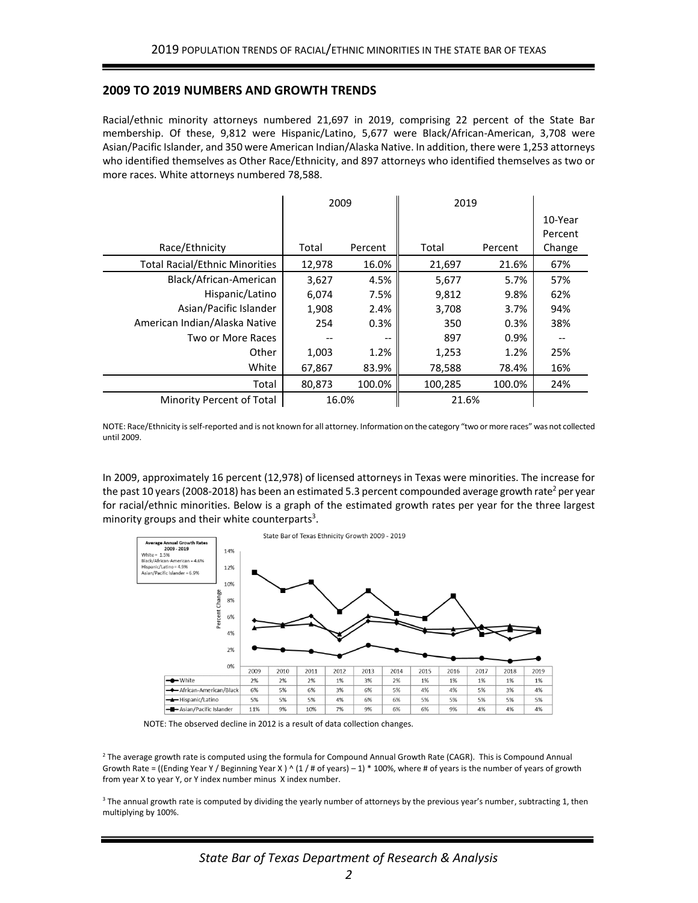#### **2009 TO 2019 NUMBERS AND GROWTH TRENDS**

Racial/ethnic minority attorneys numbered 21,697 in 2019, comprising 22 percent of the State Bar membership. Of these, 9,812 were Hispanic/Latino, 5,677 were Black/African-American, 3,708 were Asian/Pacific Islander, and 350 were American Indian/Alaska Native. In addition, there were 1,253 attorneys who identified themselves as Other Race/Ethnicity, and 897 attorneys who identified themselves as two or more races. White attorneys numbered 78,588.

|                                       | 2009   |         | 2019    |         |         |
|---------------------------------------|--------|---------|---------|---------|---------|
|                                       |        |         |         |         | 10-Year |
|                                       |        |         |         |         | Percent |
| Race/Ethnicity                        | Total  | Percent | Total   | Percent | Change  |
| <b>Total Racial/Ethnic Minorities</b> | 12,978 | 16.0%   | 21,697  | 21.6%   | 67%     |
| Black/African-American                | 3,627  | 4.5%    | 5,677   | 5.7%    | 57%     |
| Hispanic/Latino                       | 6,074  | 7.5%    | 9,812   | 9.8%    | 62%     |
| Asian/Pacific Islander                | 1,908  | 2.4%    | 3,708   | 3.7%    | 94%     |
| American Indian/Alaska Native         | 254    | 0.3%    | 350     | 0.3%    | 38%     |
| Two or More Races                     |        |         | 897     | 0.9%    |         |
| Other                                 | 1,003  | 1.2%    | 1,253   | 1.2%    | 25%     |
| White                                 | 67,867 | 83.9%   | 78,588  | 78.4%   | 16%     |
| Total                                 | 80.873 | 100.0%  | 100,285 | 100.0%  | 24%     |
| Minority Percent of Total             | 16.0%  |         | 21.6%   |         |         |

NOTE: Race/Ethnicity isself-reported and is not known for all attorney. Information on the category "two or more races" was not collected until 2009.

In 2009, approximately 16 percent (12,978) of licensed attorneys in Texas were minorities. The increase for the past 10 years (2008-2018) has been an estimated 5.3 percent compounded average growth rate<sup>2</sup> per year for racial/ethnic minorities. Below is a graph of the estimated growth rates per year for the three largest minority groups and their white counterparts<sup>3</sup>.



NOTE: The observed decline in 2012 is a result of data collection changes.

2 The average growth rate is computed using the formula for Compound Annual Growth Rate (CAGR). This is Compound Annual Growth Rate = ((Ending Year Y / Beginning Year X) ^ (1 / # of years) – 1) \* 100%, where # of years is the number of years of growth from year X to year Y, or Y index number minus X index number.

<sup>3</sup> The annual growth rate is computed by dividing the yearly number of attorneys by the previous year's number, subtracting 1, then multiplying by 100%.

*State Bar of Texas Department of Research & Analysis*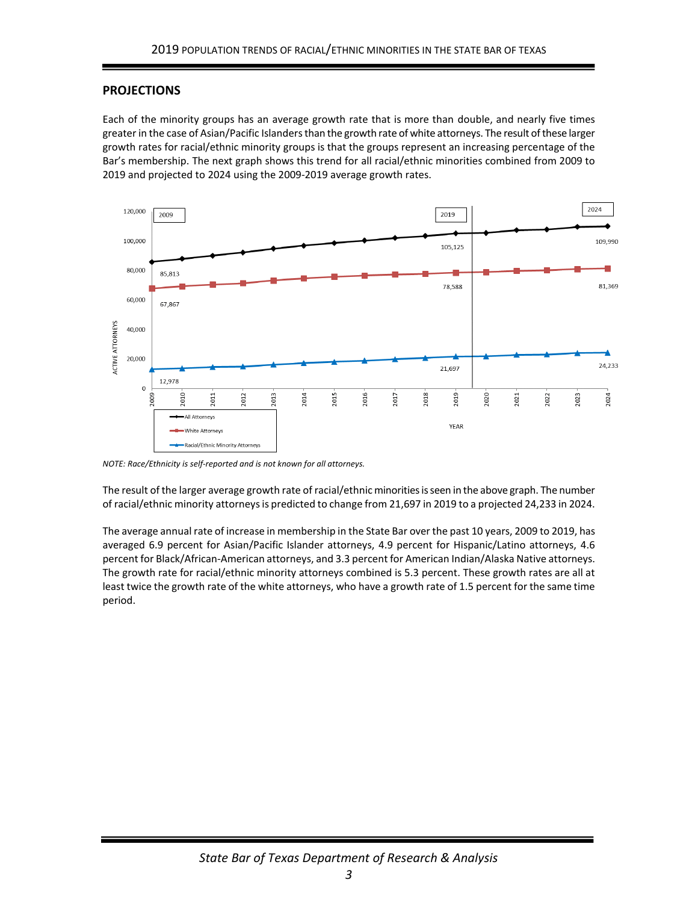# **PROJECTIONS**

Each of the minority groups has an average growth rate that is more than double, and nearly five times greater in the case of Asian/Pacific Islanders than the growth rate of white attorneys. The result of these larger growth rates for racial/ethnic minority groups is that the groups represent an increasing percentage of the Bar's membership. The next graph shows this trend for all racial/ethnic minorities combined from 2009 to 2019 and projected to 2024 using the 2009-2019 average growth rates.



*NOTE: Race/Ethnicity is self-reported and is not known for all attorneys.*

The result of the larger average growth rate of racial/ethnic minorities is seen in the above graph. The number of racial/ethnic minority attorneys is predicted to change from 21,697 in 2019 to a projected 24,233 in 2024.

The average annual rate of increase in membership in the State Bar over the past 10 years, 2009 to 2019, has averaged 6.9 percent for Asian/Pacific Islander attorneys, 4.9 percent for Hispanic/Latino attorneys, 4.6 percent for Black/African-American attorneys, and 3.3 percent for American Indian/Alaska Native attorneys. The growth rate for racial/ethnic minority attorneys combined is 5.3 percent. These growth rates are all at least twice the growth rate of the white attorneys, who have a growth rate of 1.5 percent for the same time period.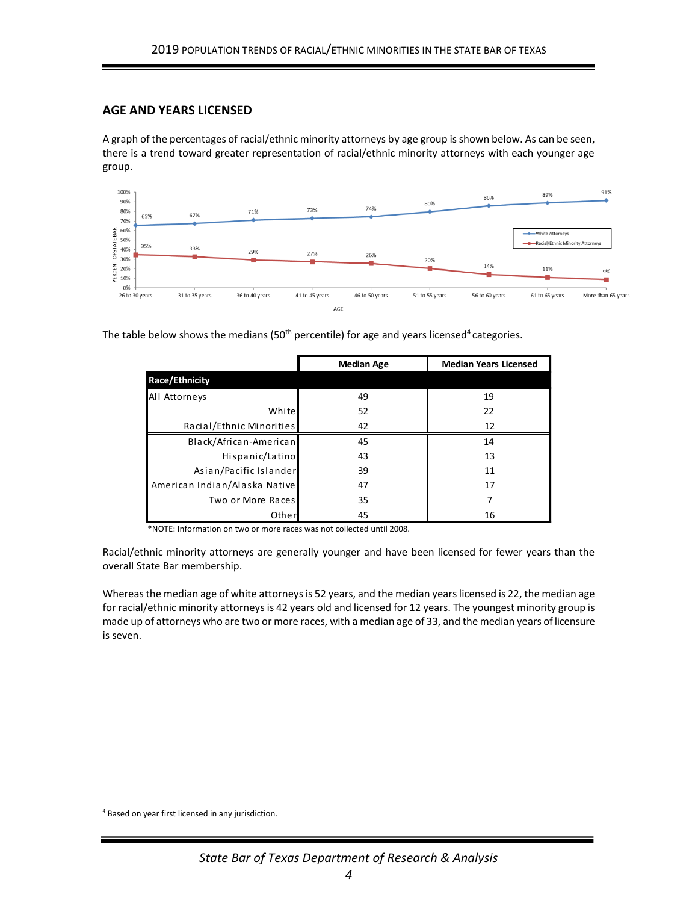## **AGE AND YEARS LICENSED**

A graph of the percentages of racial/ethnic minority attorneys by age group is shown below. As can be seen, there is a trend toward greater representation of racial/ethnic minority attorneys with each younger age group.



The table below shows the medians (50<sup>th</sup> percentile) for age and years licensed<sup>4</sup> categories.

|                               | <b>Median Age</b> | <b>Median Years Licensed</b> |  |
|-------------------------------|-------------------|------------------------------|--|
| <b>Race/Ethnicity</b>         |                   |                              |  |
| All Attorneys                 | 49                | 19                           |  |
| White                         | 52                | 22                           |  |
| Racial/Ethnic Minorities      | 42                | 12                           |  |
| Black/African-American        | 45                | 14                           |  |
| Hispanic/Latino               | 43                | 13                           |  |
| Asian/Pacific Islander        | 39                | 11                           |  |
| American Indian/Alaska Native | 47                | 17                           |  |
| Two or More Races             | 35                |                              |  |
| Other                         | 45                | 16                           |  |

\*NOTE: Information on two or more races was not collected until 2008.

Racial/ethnic minority attorneys are generally younger and have been licensed for fewer years than the overall State Bar membership.

Whereas the median age of white attorneys is 52 years, and the median years licensed is 22, the median age for racial/ethnic minority attorneys is 42 years old and licensed for 12 years. The youngest minority group is made up of attorneys who are two or more races, with a median age of 33, and the median years of licensure is seven.

<sup>4</sup> Based on year first licensed in any jurisdiction.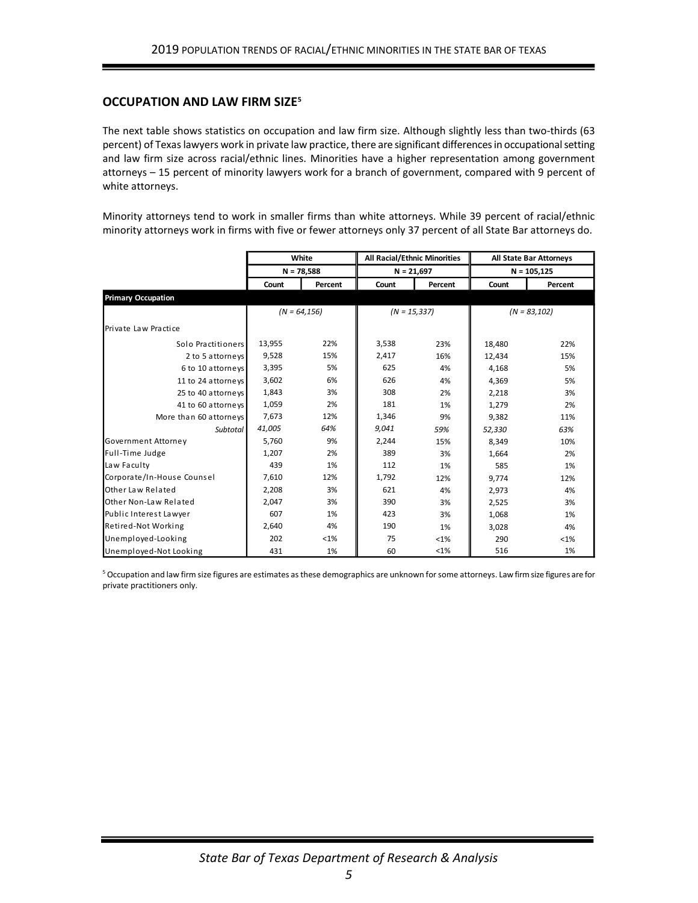#### **OCCUPATION AND LAW FIRM SIZE<sup>5</sup>**

The next table shows statistics on occupation and law firm size. Although slightly less than two-thirds (63 percent) of Texas lawyers work in private law practice, there are significant differences in occupational setting and law firm size across racial/ethnic lines. Minorities have a higher representation among government attorneys – 15 percent of minority lawyers work for a branch of government, compared with 9 percent of white attorneys.

Minority attorneys tend to work in smaller firms than white attorneys. While 39 percent of racial/ethnic minority attorneys work in firms with five or fewer attorneys only 37 percent of all State Bar attorneys do.

|                            | White<br>$N = 78,588$ |         | All Racial/Ethnic Minorities<br>$N = 21,697$ |         | All State Bar Attorneys |         |
|----------------------------|-----------------------|---------|----------------------------------------------|---------|-------------------------|---------|
|                            |                       |         |                                              |         | $N = 105,125$           |         |
|                            | Count                 | Percent | Count                                        | Percent | Count                   | Percent |
| <b>Primary Occupation</b>  |                       |         |                                              |         |                         |         |
|                            | $(N = 64, 156)$       |         | $(N = 15, 337)$                              |         | $(N = 83, 102)$         |         |
| Private Law Practice       |                       |         |                                              |         |                         |         |
| Solo Practitioners         | 13,955                | 22%     | 3,538                                        | 23%     | 18,480                  | 22%     |
| 2 to 5 attorneys           | 9,528                 | 15%     | 2,417                                        | 16%     | 12,434                  | 15%     |
| 6 to 10 attorneys          | 3,395                 | 5%      | 625                                          | 4%      | 4,168                   | 5%      |
| 11 to 24 attorneys         | 3,602                 | 6%      | 626                                          | 4%      | 4,369                   | 5%      |
| 25 to 40 attorneys         | 1,843                 | 3%      | 308                                          | 2%      | 2,218                   | 3%      |
| 41 to 60 attorneys         | 1,059                 | 2%      | 181                                          | 1%      | 1,279                   | 2%      |
| More than 60 attorneys     | 7.673                 | 12%     | 1,346                                        | 9%      | 9,382                   | 11%     |
| Subtotal                   | 41,005                | 64%     | 9,041                                        | 59%     | 52,330                  | 63%     |
| Government Attorney        | 5,760                 | 9%      | 2,244                                        | 15%     | 8,349                   | 10%     |
| Full-Time Judge            | 1,207                 | 2%      | 389                                          | 3%      | 1,664                   | 2%      |
| Law Faculty                | 439                   | 1%      | 112                                          | 1%      | 585                     | 1%      |
| Corporate/In-House Counsel | 7,610                 | 12%     | 1,792                                        | 12%     | 9,774                   | 12%     |
| Other Law Related          | 2,208                 | 3%      | 621                                          | 4%      | 2,973                   | 4%      |
| Other Non-Law Related      | 2,047                 | 3%      | 390                                          | 3%      | 2,525                   | 3%      |
| Public Interest Lawyer     | 607                   | 1%      | 423                                          | 3%      | 1,068                   | 1%      |
| Retired-Not Working        | 2,640                 | 4%      | 190                                          | 1%      | 3,028                   | 4%      |
| Unemployed-Looking         | 202                   | $<$ 1%  | 75                                           | $< 1\%$ | 290                     | $< 1\%$ |
| Unemployed-Not Looking     | 431                   | 1%      | 60                                           | <1%     | 516                     | 1%      |

<sup>5</sup> Occupation and law firm size figures are estimates as these demographics are unknown for some attorneys. Law firm size figures are for private practitioners only.